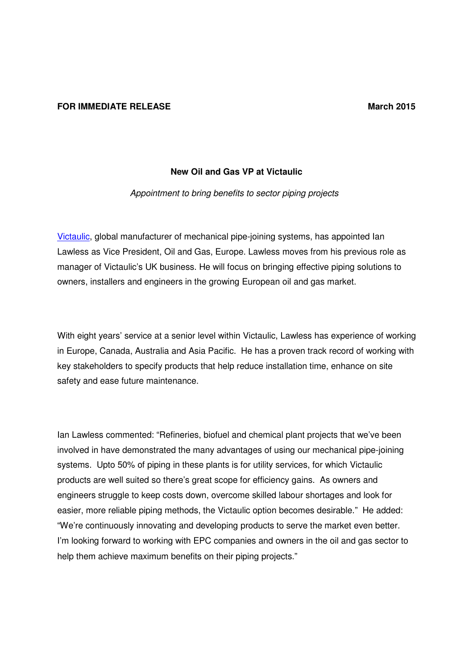## **FOR IMMEDIATE RELEASE March 2015**

## **New Oil and Gas VP at Victaulic**

Appointment to bring benefits to sector piping projects

Victaulic, global manufacturer of mechanical pipe-joining systems, has appointed Ian Lawless as Vice President, Oil and Gas, Europe. Lawless moves from his previous role as manager of Victaulic's UK business. He will focus on bringing effective piping solutions to owners, installers and engineers in the growing European oil and gas market.

With eight years' service at a senior level within Victaulic, Lawless has experience of working in Europe, Canada, Australia and Asia Pacific. He has a proven track record of working with key stakeholders to specify products that help reduce installation time, enhance on site safety and ease future maintenance.

Ian Lawless commented: "Refineries, biofuel and chemical plant projects that we've been involved in have demonstrated the many advantages of using our mechanical pipe-joining systems. Upto 50% of piping in these plants is for utility services, for which Victaulic products are well suited so there's great scope for efficiency gains. As owners and engineers struggle to keep costs down, overcome skilled labour shortages and look for easier, more reliable piping methods, the Victaulic option becomes desirable." He added: "We're continuously innovating and developing products to serve the market even better. I'm looking forward to working with EPC companies and owners in the oil and gas sector to help them achieve maximum benefits on their piping projects."